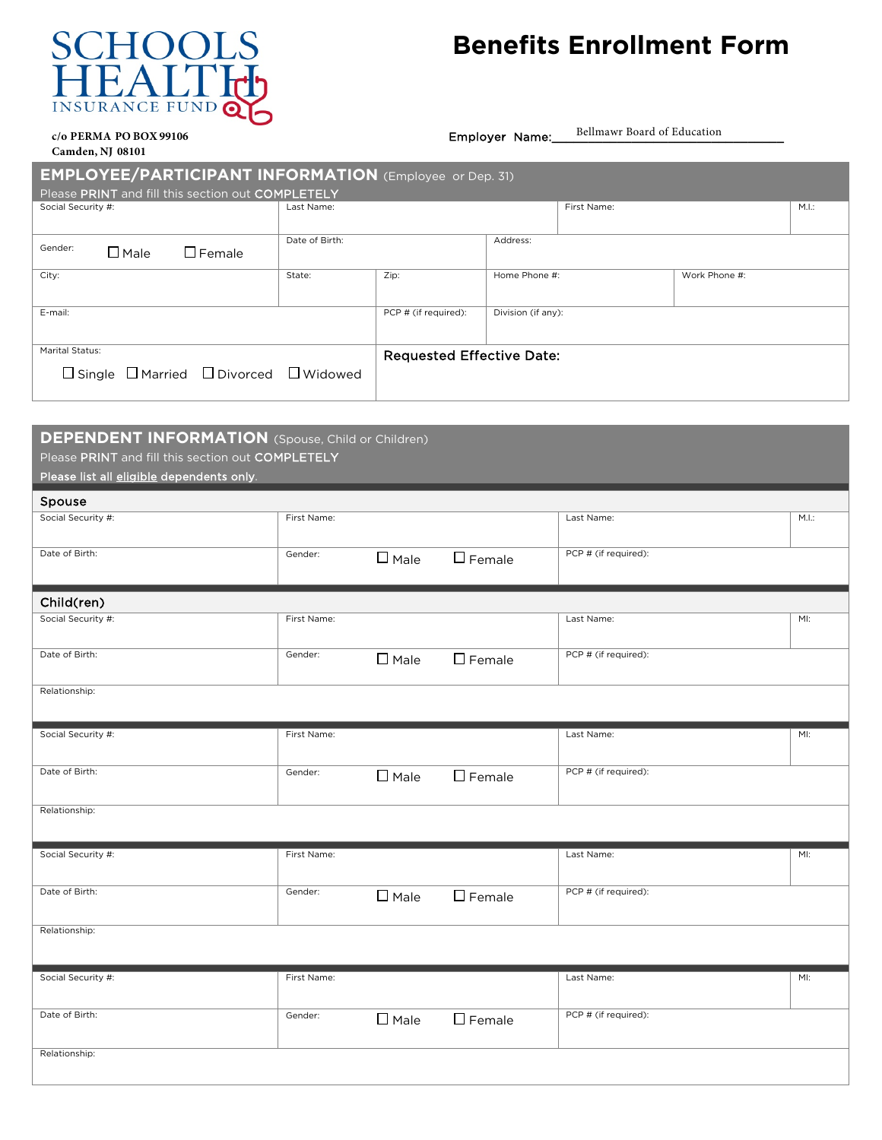## $S$ CHOOL **INSURANCE FUNE**

## **Benefits Enrollment Form**

## **c/o PERMA PO BOX 99106** Employer Name: **Camden, NJ 08101**

Bellmawr Board of Education

| <b>EMPLOYEE/PARTICIPANT INFORMATION</b> (Employee or Dep. 31) |                |                                  |                    |             |               |       |  |  |
|---------------------------------------------------------------|----------------|----------------------------------|--------------------|-------------|---------------|-------|--|--|
| Please PRINT and fill this section out COMPLETELY             |                |                                  |                    |             |               |       |  |  |
| Social Security #:                                            | Last Name:     |                                  |                    | First Name: |               | M.I.: |  |  |
|                                                               | Date of Birth: |                                  | Address:           |             |               |       |  |  |
| Gender:<br>$\Box$ Female<br>$\Box$ Male                       |                |                                  |                    |             |               |       |  |  |
| City:                                                         | State:         | Zip:                             | Home Phone #:      |             | Work Phone #: |       |  |  |
|                                                               |                |                                  |                    |             |               |       |  |  |
| E-mail:                                                       |                | PCP # (if required):             | Division (if any): |             |               |       |  |  |
|                                                               |                |                                  |                    |             |               |       |  |  |
| Marital Status:                                               |                | <b>Requested Effective Date:</b> |                    |             |               |       |  |  |
| $\Box$ Single $\Box$ Married $\Box$ Divorced $\Box$ Widowed   |                |                                  |                    |             |               |       |  |  |
|                                                               |                |                                  |                    |             |               |       |  |  |

## **DEPENDENT INFORMATION** (Spouse, Child or Children)

Please PRINT and fill this section out COMPLETELY

Please list all eligible dependents only.

 $\overline{\mathbf{S}}$ 

| <b>Spouse</b>      |             |                |                  |                      |      |
|--------------------|-------------|----------------|------------------|----------------------|------|
| Social Security #: | First Name: |                |                  | Last Name:           | M.L. |
|                    |             |                |                  |                      |      |
| Date of Birth:     | Gender:     |                |                  | PCP # (if required): |      |
|                    |             | $\square$ Male | $\square$ Female |                      |      |
|                    |             |                |                  |                      |      |
|                    |             |                |                  |                      |      |
| Child(ren)         |             |                |                  |                      |      |
| Social Security #: | First Name: |                |                  | Last Name:           | MI:  |
|                    |             |                |                  |                      |      |
| Date of Birth:     | Gender:     |                |                  | PCP # (if required): |      |
|                    |             | $\Box$ Male    | $\square$ Female |                      |      |
|                    |             |                |                  |                      |      |
| Relationship:      |             |                |                  |                      |      |
|                    |             |                |                  |                      |      |
|                    |             |                |                  |                      |      |
| Social Security #: | First Name: |                |                  | Last Name:           | M!   |
|                    |             |                |                  |                      |      |
| Date of Birth:     | Gender:     |                |                  | PCP # (if required): |      |
|                    |             | $\square$ Male | $\square$ Female |                      |      |
|                    |             |                |                  |                      |      |
| Relationship:      |             |                |                  |                      |      |
|                    |             |                |                  |                      |      |
|                    |             |                |                  |                      |      |
| Social Security #: | First Name: |                |                  | Last Name:           | MI:  |
|                    |             |                |                  |                      |      |
| Date of Birth:     | Gender:     |                |                  | PCP # (if required): |      |
|                    |             | $\Box$ Male    | $\square$ Female |                      |      |
|                    |             |                |                  |                      |      |
| Relationship:      |             |                |                  |                      |      |
|                    |             |                |                  |                      |      |
|                    |             |                |                  |                      |      |
| Social Security #: | First Name: |                |                  | Last Name:           | MI:  |
|                    |             |                |                  |                      |      |
|                    |             |                |                  |                      |      |
| Date of Birth:     | Gender:     | $\square$ Male | $\square$ Female | PCP # (if required): |      |
|                    |             |                |                  |                      |      |
| Relationship:      |             |                |                  |                      |      |
|                    |             |                |                  |                      |      |